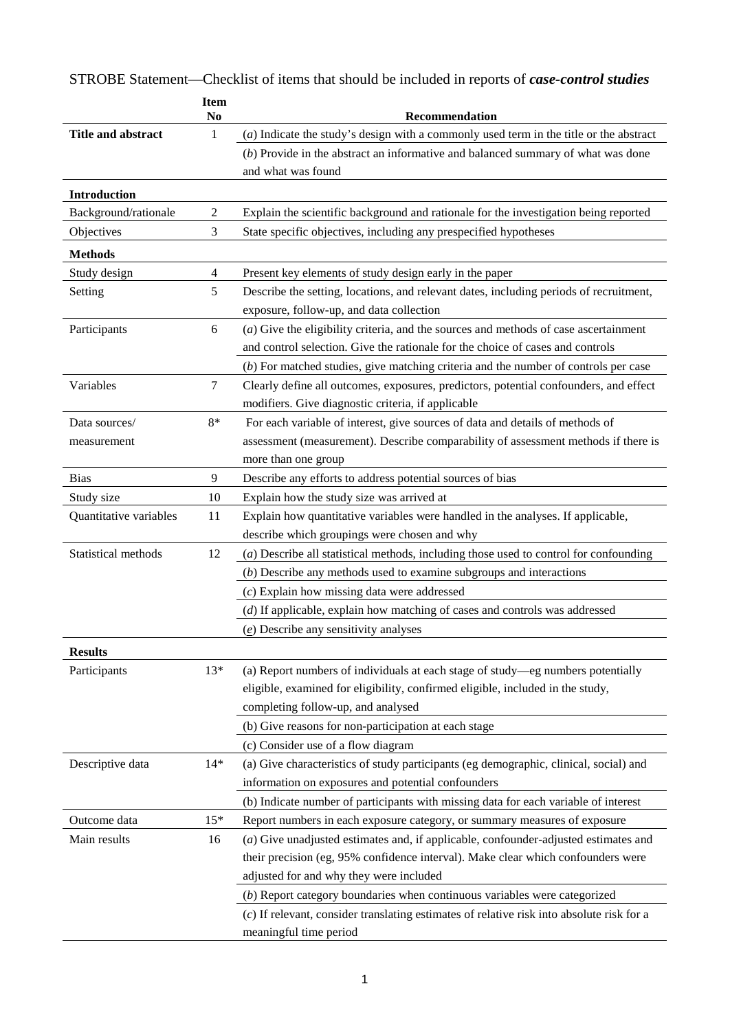|                        | <b>Item</b><br>No | Recommendation                                                                            |
|------------------------|-------------------|-------------------------------------------------------------------------------------------|
| Title and abstract     | 1                 | $(a)$ Indicate the study's design with a commonly used term in the title or the abstract  |
|                        |                   | $(b)$ Provide in the abstract an informative and balanced summary of what was done        |
|                        |                   | and what was found                                                                        |
| <b>Introduction</b>    |                   |                                                                                           |
| Background/rationale   | $\mathfrak{2}$    | Explain the scientific background and rationale for the investigation being reported      |
| Objectives             | 3                 | State specific objectives, including any prespecified hypotheses                          |
| <b>Methods</b>         |                   |                                                                                           |
| Study design           | 4                 | Present key elements of study design early in the paper                                   |
| Setting                | 5                 | Describe the setting, locations, and relevant dates, including periods of recruitment,    |
|                        |                   | exposure, follow-up, and data collection                                                  |
| Participants           | 6                 | $(a)$ Give the eligibility criteria, and the sources and methods of case ascertainment    |
|                        |                   | and control selection. Give the rationale for the choice of cases and controls            |
|                        |                   | $(b)$ For matched studies, give matching criteria and the number of controls per case     |
| Variables              | 7                 | Clearly define all outcomes, exposures, predictors, potential confounders, and effect     |
|                        |                   | modifiers. Give diagnostic criteria, if applicable                                        |
| Data sources/          | 8*                | For each variable of interest, give sources of data and details of methods of             |
| measurement            |                   | assessment (measurement). Describe comparability of assessment methods if there is        |
|                        |                   | more than one group                                                                       |
| <b>Bias</b>            | 9                 | Describe any efforts to address potential sources of bias                                 |
| Study size             | 10                | Explain how the study size was arrived at                                                 |
| Quantitative variables | 11                | Explain how quantitative variables were handled in the analyses. If applicable,           |
|                        |                   | describe which groupings were chosen and why                                              |
| Statistical methods    | 12                | $(a)$ Describe all statistical methods, including those used to control for confounding   |
|                        |                   | $(b)$ Describe any methods used to examine subgroups and interactions                     |
|                        |                   | $(c)$ Explain how missing data were addressed                                             |
|                        |                   | (d) If applicable, explain how matching of cases and controls was addressed               |
|                        |                   | $(e)$ Describe any sensitivity analyses                                                   |
| <b>Results</b>         |                   |                                                                                           |
| Participants           | $13*$             | (a) Report numbers of individuals at each stage of study-eg numbers potentially           |
|                        |                   | eligible, examined for eligibility, confirmed eligible, included in the study,            |
|                        |                   | completing follow-up, and analysed                                                        |
|                        |                   | (b) Give reasons for non-participation at each stage                                      |
|                        |                   | (c) Consider use of a flow diagram                                                        |
| Descriptive data       | $14*$             | (a) Give characteristics of study participants (eg demographic, clinical, social) and     |
|                        |                   | information on exposures and potential confounders                                        |
|                        |                   | (b) Indicate number of participants with missing data for each variable of interest       |
| Outcome data           | $15*$             | Report numbers in each exposure category, or summary measures of exposure                 |
| Main results           | 16                | $(a)$ Give unadjusted estimates and, if applicable, confounder-adjusted estimates and     |
|                        |                   | their precision (eg, 95% confidence interval). Make clear which confounders were          |
|                        |                   | adjusted for and why they were included                                                   |
|                        |                   | $(b)$ Report category boundaries when continuous variables were categorized               |
|                        |                   | (c) If relevant, consider translating estimates of relative risk into absolute risk for a |
|                        |                   | meaningful time period                                                                    |

STROBE Statement—Checklist of items that should be included in reports of *case-control studies*